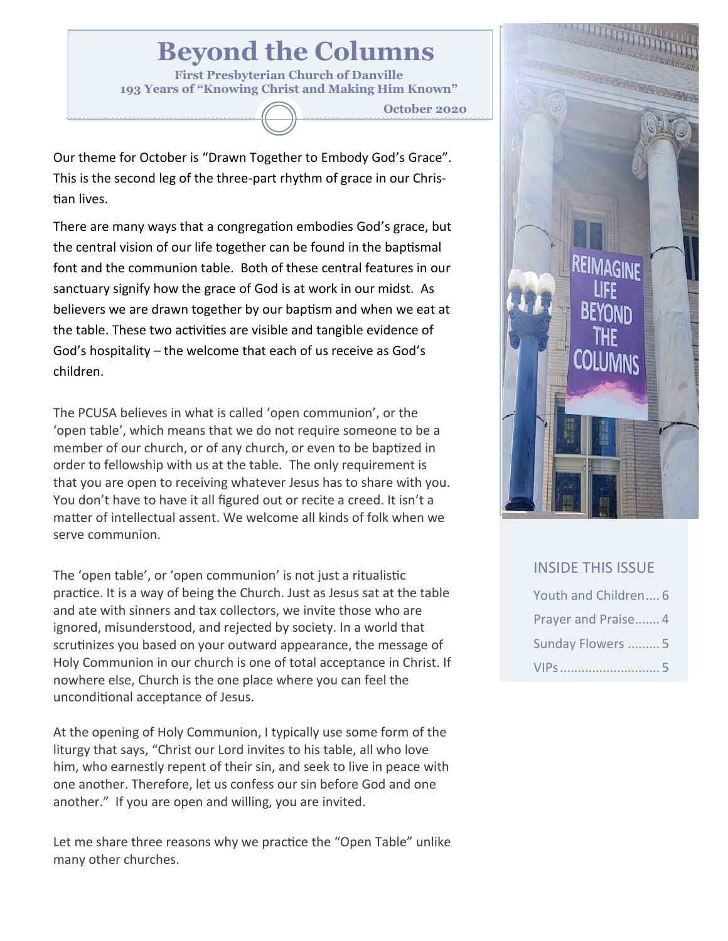# **Beyond the Columns**

**First Presbyterian Church of Danville 193 Years of "Knowing Christ and Making Him Known"**

**October 2020**

Our theme for October is "Drawn Together to Embody God's Grace". This is the second leg of the three-part rhythm of grace in our Christian lives.

There are many ways that a congregation embodies God's grace, but the central vision of our life together can be found in the baptismal font and the communion table. Both of these central features in our sanctuary signify how the grace of God is at work in our midst. As believers we are drawn together by our baptism and when we eat at the table. These two activities are visible and tangible evidence of God's hospitality – the welcome that each of us receive as God's children.

The PCUSA believes in what is called 'open communion', or the 'open table', which means that we do not require someone to be a member of our church, or of any church, or even to be baptized in order to fellowship with us at the table. The only requirement is that you are open to receiving whatever Jesus has to share with you. You don't have to have it all figured out or recite a creed. It isn't a matter of intellectual assent. We welcome all kinds of folk when we serve communion.

The 'open table', or 'open communion' is not just a ritualistic practice. It is a way of being the Church. Just as Jesus sat at the table and ate with sinners and tax collectors, we invite those who are ignored, misunderstood, and rejected by society. In a world that scrutinizes you based on your outward appearance, the message of Holy Communion in our church is one of total acceptance in Christ. If nowhere else, Church is the one place where you can feel the unconditional acceptance of Jesus.

At the opening of Holy Communion, I typically use some form of the liturgy that says, "Christ our Lord invites to his table, all who love him, who earnestly repent of their sin, and seek to live in peace with one another. Therefore, let us confess our sin before God and one another." If you are open and willing, you are invited.

Let me share three reasons why we practice the "Open Table" unlike many other churches.



### INSIDE THIS ISSUE

| Youth and Children 6 |  |
|----------------------|--|
| Prayer and Praise 4  |  |
| Sunday Flowers  5    |  |
| VIPs  5              |  |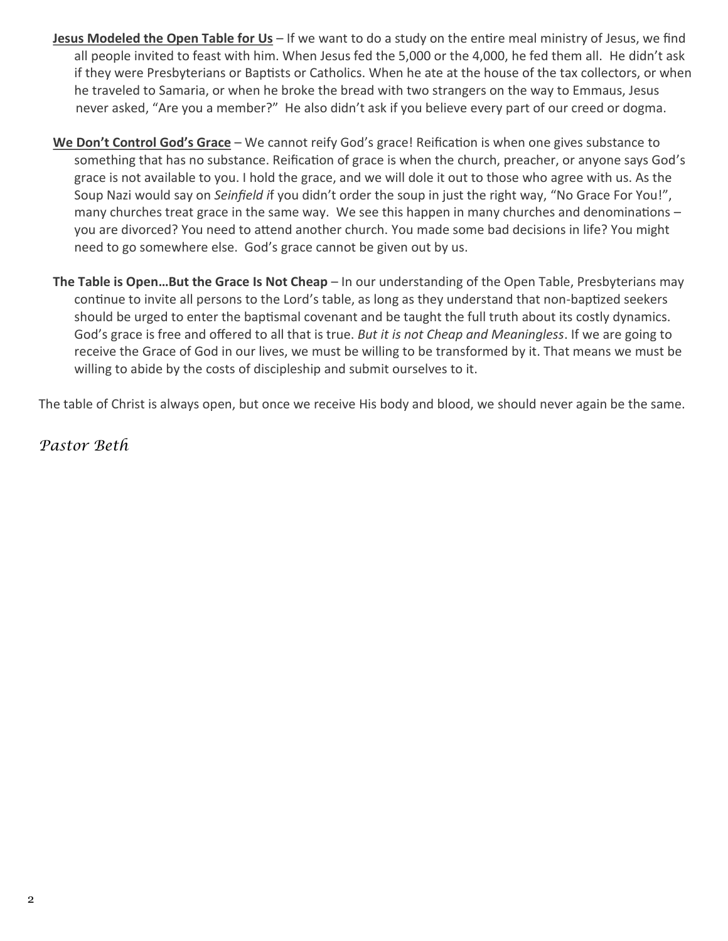- **Jesus Modeled the Open Table for Us** If we want to do a study on the entire meal ministry of Jesus, we find all people invited to feast with him. When Jesus fed the 5,000 or the 4,000, he fed them all. He didn't ask if they were Presbyterians or Baptists or Catholics. When he ate at the house of the tax collectors, or when he traveled to Samaria, or when he broke the bread with two strangers on the way to Emmaus, Jesus never asked, "Are you a member?" He also didn't ask if you believe every part of our creed or dogma.
- **We Don't Control God's Grace** We cannot reify God's grace! Reification is when one gives substance to something that has no substance. Reification of grace is when the church, preacher, or anyone says God's grace is not available to you. I hold the grace, and we will dole it out to those who agree with us. As the Soup Nazi would say on *Seinfield i*f you didn't order the soup in just the right way, "No Grace For You!", many churches treat grace in the same way. We see this happen in many churches and denominations – you are divorced? You need to attend another church. You made some bad decisions in life? You might need to go somewhere else. God's grace cannot be given out by us.
- **The Table is Open…But the Grace Is Not Cheap** In our understanding of the Open Table, Presbyterians may continue to invite all persons to the Lord's table, as long as they understand that non-baptized seekers should be urged to enter the baptismal covenant and be taught the full truth about its costly dynamics. God's grace is free and offered to all that is true. *But it is not Cheap and Meaningless*. If we are going to receive the Grace of God in our lives, we must be willing to be transformed by it. That means we must be willing to abide by the costs of discipleship and submit ourselves to it.

The table of Christ is always open, but once we receive His body and blood, we should never again be the same.

*Pastor Beth*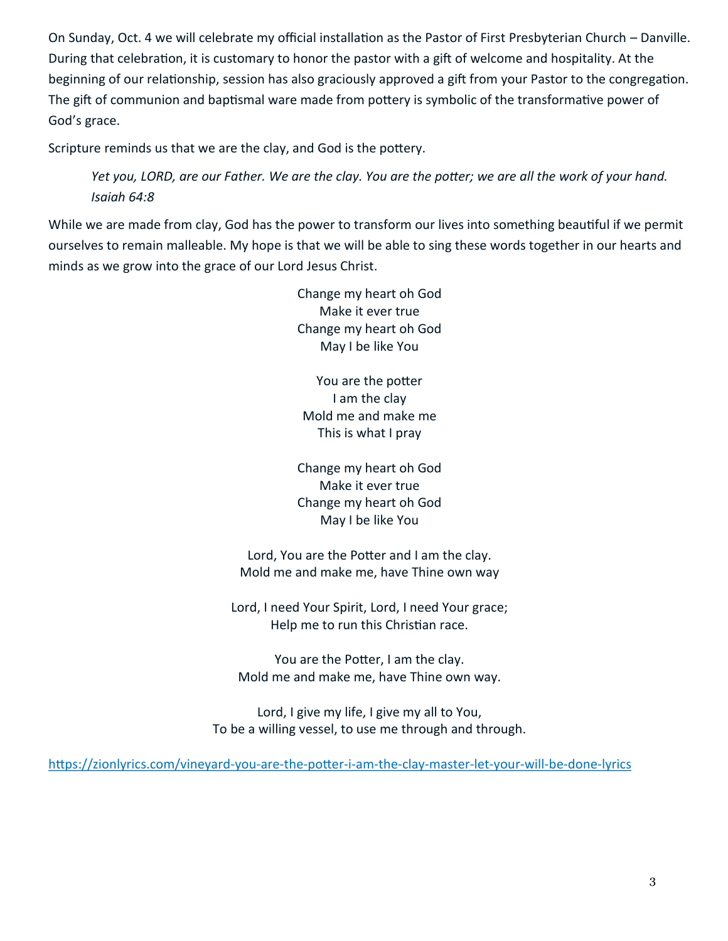On Sunday, Oct. 4 we will celebrate my official installation as the Pastor of First Presbyterian Church – Danville. During that celebration, it is customary to honor the pastor with a gift of welcome and hospitality. At the beginning of our relationship, session has also graciously approved a gift from your Pastor to the congregation. The gift of communion and baptismal ware made from pottery is symbolic of the transformative power of God's grace.

Scripture reminds us that we are the clay, and God is the pottery.

*Yet you, LORD, are our Father. We are the clay. You are the potter; we are all the work of your hand. Isaiah 64:8*

While we are made from clay, God has the power to transform our lives into something beautiful if we permit ourselves to remain malleable. My hope is that we will be able to sing these words together in our hearts and minds as we grow into the grace of our Lord Jesus Christ.

> Change my heart oh God Make it ever true Change my heart oh God May I be like You

You are the potter I am the clay Mold me and make me This is what I pray

Change my heart oh God Make it ever true Change my heart oh God May I be like You

Lord, You are the Potter and I am the clay. Mold me and make me, have Thine own way

Lord, I need Your Spirit, Lord, I need Your grace; Help me to run this Christian race.

You are the Potter, I am the clay. Mold me and make me, have Thine own way.

Lord, I give my life, I give my all to You, To be a willing vessel, to use me through and through.

[https://zionlyrics.com/vineyard](https://zionlyrics.com/vineyard-you-are-the-potter-i-am-the-clay-master-let-your-will-be-done-lyrics)-you-are-the-potter-i-am-the-clay-master-let-your-will-be-done-lyrics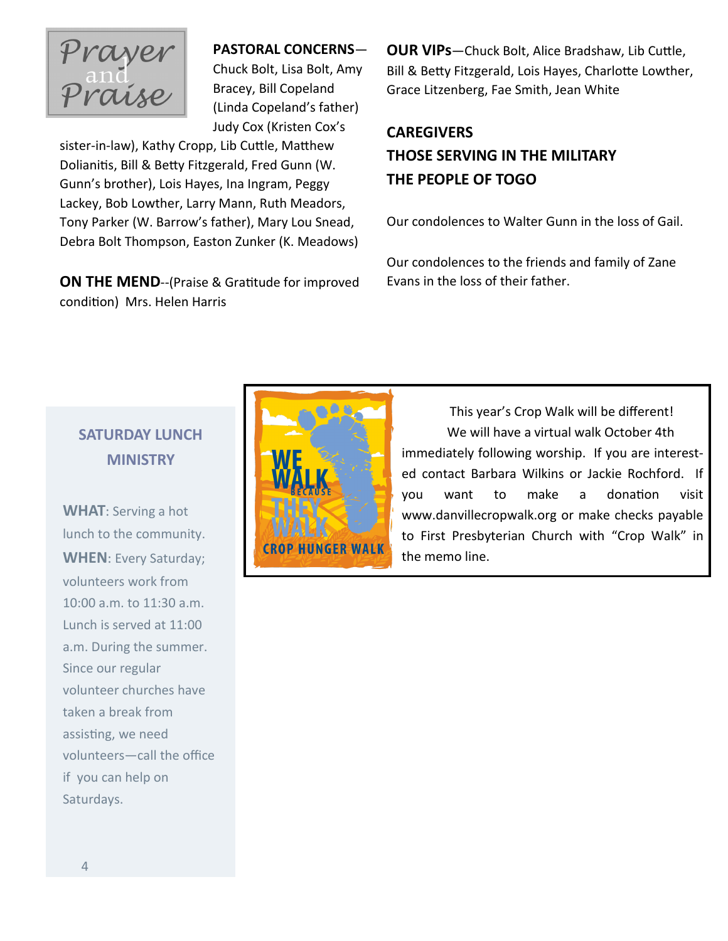

#### **PASTORAL CONCERNS**—

Chuck Bolt, Lisa Bolt, Amy Bracey, Bill Copeland (Linda Copeland's father) Judy Cox (Kristen Cox's

sister-in-law), Kathy Cropp, Lib Cuttle, Matthew Dolianitis, Bill & Betty Fitzgerald, Fred Gunn (W. Gunn's brother), Lois Hayes, Ina Ingram, Peggy Lackey, Bob Lowther, Larry Mann, Ruth Meadors, Tony Parker (W. Barrow's father), Mary Lou Snead, Debra Bolt Thompson, Easton Zunker (K. Meadows)

**ON THE MEND--(Praise & Gratitude for improved** condition) Mrs. Helen Harris

**OUR VIPs**—Chuck Bolt, Alice Bradshaw, Lib Cuttle, Bill & Betty Fitzgerald, Lois Hayes, Charlotte Lowther, Grace Litzenberg, Fae Smith, Jean White

### **CAREGIVERS THOSE SERVING IN THE MILITARY THE PEOPLE OF TOGO**

Our condolences to Walter Gunn in the loss of Gail.

Our condolences to the friends and family of Zane Evans in the loss of their father.

## **SATURDAY LUNCH MINISTRY**

**WHAT**: Serving a hot lunch to the community. **WHEN**: Every Saturday; volunteers work from 10:00 a.m. to 11:30 a.m. Lunch is served at 11:00 a.m. During the summer. Since our regular volunteer churches have taken a break from assisting, we need volunteers—call the office if you can help on Saturdays.



 This year's Crop Walk will be different! We will have a virtual walk October 4th immediately following worship. If you are interested contact Barbara Wilkins or Jackie Rochford. If you want to make a donation visit www.danvillecropwalk.org or make checks payable to First Presbyterian Church with "Crop Walk" in the memo line.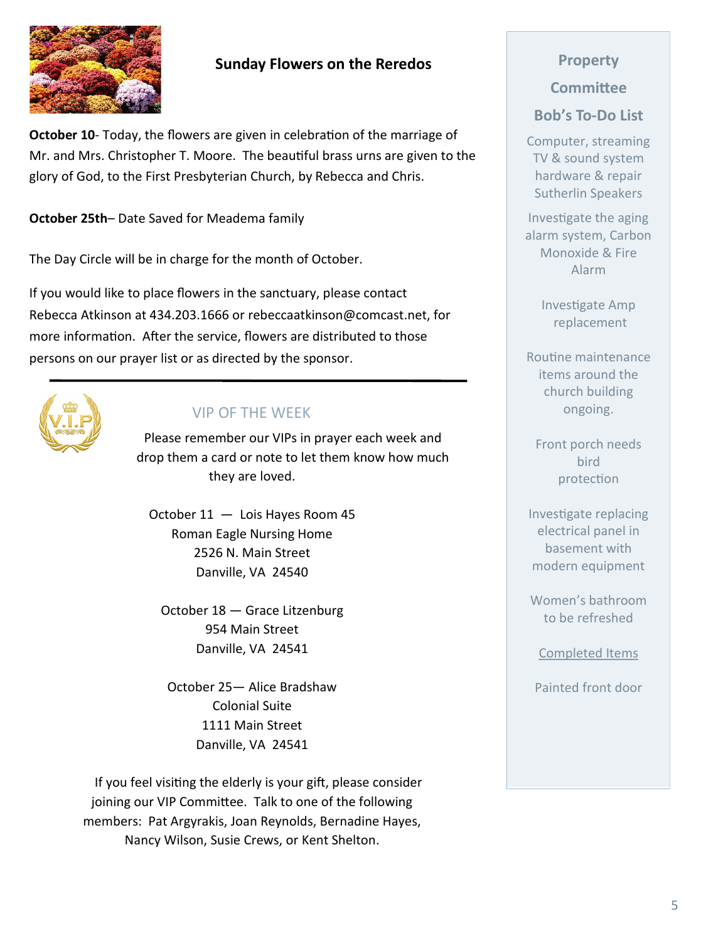### **Sunday Flowers on the Reredos**

**October 10**- Today, the flowers are given in celebration of the marriage of Mr. and Mrs. Christopher T. Moore. The beautiful brass urns are given to the glory of God, to the First Presbyterian Church, by Rebecca and Chris.

**October 25th**– Date Saved for Meadema family

The Day Circle will be in charge for the month of October.

If you would like to place flowers in the sanctuary, please contact Rebecca Atkinson at 434.203.1666 or rebeccaatkinson@comcast.net, for more information. After the service, flowers are distributed to those persons on our prayer list or as directed by the sponsor.



### VIP OF THE WEEK

Please remember our VIPs in prayer each week and drop them a card or note to let them know how much they are loved.

October 11 — Lois Hayes Room 45 Roman Eagle Nursing Home 2526 N. Main Street Danville, VA 24540

October 18 — Grace Litzenburg 954 Main Street Danville, VA 24541

October 25— Alice Bradshaw Colonial Suite 1111 Main Street Danville, VA 24541

 If you feel visiting the elderly is your gift, please consider joining our VIP Committee. Talk to one of the following members: Pat Argyrakis, Joan Reynolds, Bernadine Hayes, Nancy Wilson, Susie Crews, or Kent Shelton.

# **Property**

# **Committee**

### **Bob's To-Do List**

Computer, streaming TV & sound system hardware & repair Sutherlin Speakers

Investigate the aging alarm system, Carbon Monoxide & Fire Alarm

> Investigate Amp replacement

Routine maintenance items around the church building ongoing.

Front porch needs bird protection

Investigate replacing electrical panel in basement with modern equipment

Women's bathroom to be refreshed

Completed Items

Painted front door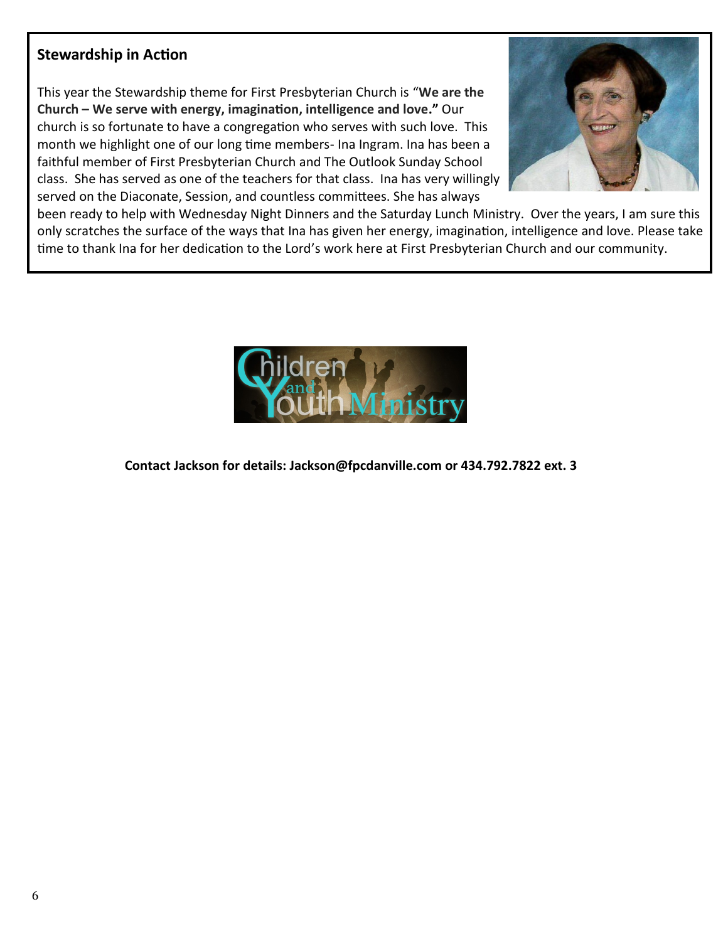### **Stewardship in Action**

This year the Stewardship theme for First Presbyterian Church is "**We are the Church – We serve with energy, imagination, intelligence and love."** Our church is so fortunate to have a congregation who serves with such love. This month we highlight one of our long time members- Ina Ingram. Ina has been a faithful member of First Presbyterian Church and The Outlook Sunday School class. She has served as one of the teachers for that class. Ina has very willingly served on the Diaconate, Session, and countless committees. She has always



been ready to help with Wednesday Night Dinners and the Saturday Lunch Ministry. Over the years, I am sure this only scratches the surface of the ways that Ina has given her energy, imagination, intelligence and love. Please take time to thank Ina for her dedication to the Lord's work here at First Presbyterian Church and our community.



**Contact Jackson for details: Jackson@fpcdanville.com or 434.792.7822 ext. 3**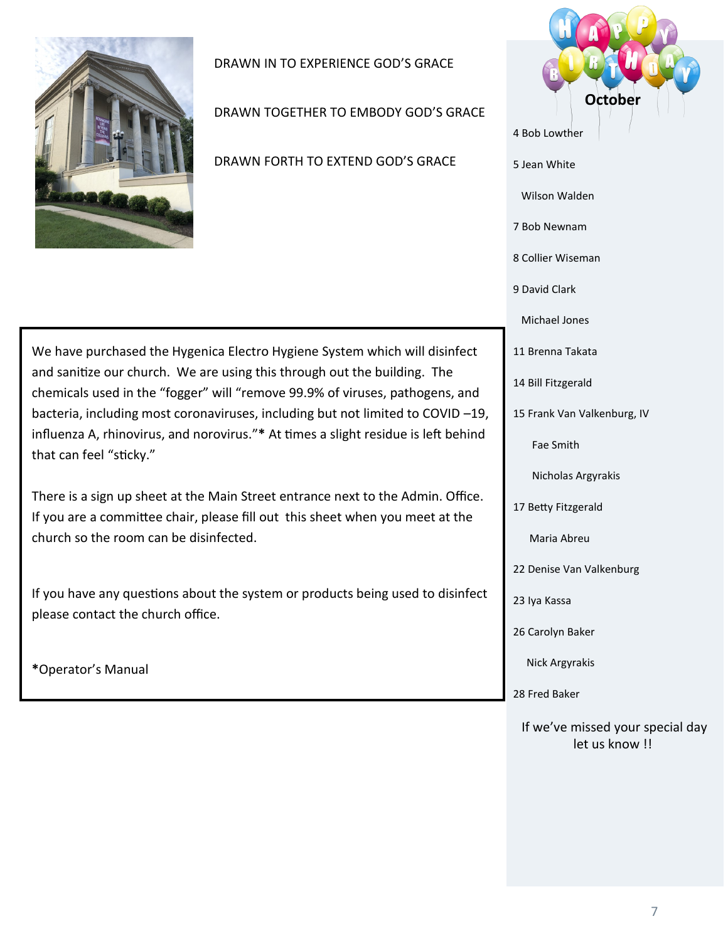

DRAWN IN TO EXPERIENCE GOD'S GRACE

DRAWN TOGETHER TO EMBODY GOD'S GRACE

DRAWN FORTH TO EXTEND GOD'S GRACE

We have purchased the Hygenica Electro Hygiene System which will disinfect and sanitize our church. We are using this through out the building. The chemicals used in the "fogger" will "remove 99.9% of viruses, pathogens, and bacteria, including most coronaviruses, including but not limited to COVID –19, influenza A, rhinovirus, and norovirus."**\*** At times a slight residue is left behind that can feel "sticky."

There is a sign up sheet at the Main Street entrance next to the Admin. Office. If you are a committee chair, please fill out this sheet when you meet at the church so the room can be disinfected.

If you have any questions about the system or products being used to disinfect please contact the church office.

**\***Operator's Manual



Nick Argyrakis

28 Fred Baker

If we've missed your special day let us know !!